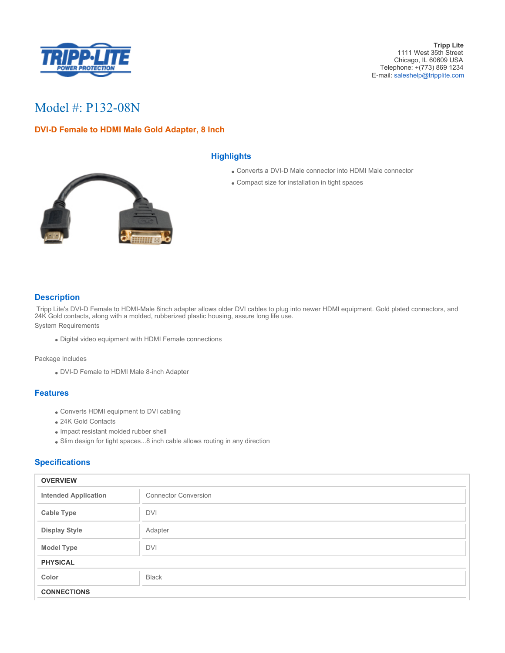

# Model #: P132-08N

## **DVI-D Female to HDMI Male Gold Adapter, 8 Inch**



#### **Highlights**

- Converts a DVI-D Male connector into HDMI Male connector
- Compact size for installation in tight spaces

## **Description**

 Tripp Lite's DVI-D Female to HDMI-Male 8inch adapter allows older DVI cables to plug into newer HDMI equipment. Gold plated connectors, and 24K Gold contacts, along with a molded, rubberized plastic housing, assure long life use.

System Requirements

Digital video equipment with HDMI Female connections

Package Includes

DVI-D Female to HDMI Male 8-inch Adapter

#### **Features**

- Converts HDMI equipment to DVI cabling
- 24K Gold Contacts
- Impact resistant molded rubber shell
- Slim design for tight spaces...8 inch cable allows routing in any direction

## **Specifications**

| <b>OVERVIEW</b>             |                             |
|-----------------------------|-----------------------------|
| <b>Intended Application</b> | <b>Connector Conversion</b> |
| <b>Cable Type</b>           | <b>DVI</b>                  |
| <b>Display Style</b>        | Adapter                     |
| <b>Model Type</b>           | <b>DVI</b>                  |
| <b>PHYSICAL</b>             |                             |
| Color                       | <b>Black</b>                |
| <b>CONNECTIONS</b>          |                             |